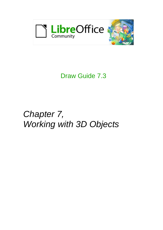

## Draw Guide 7.3

# *Chapter 7, Working with 3D Objects*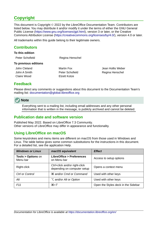### <span id="page-1-4"></span>**Copyright**

This document is Copyright © 2022 by the LibreOffice Documentation Team. Contributors are listed below. You may distribute it and/or modify it under the terms of either the GNU General Public License ([https://www.gnu.org/licenses/gpl.html\)](https://www.gnu.org/licenses/gpl.html), version 3 or later, or the Creative Commons Attribution License (<https://creativecommons.org/licenses/by/4.0/>), version 4.0 or later.

All trademarks within this guide belong to their legitimate owners.

### <span id="page-1-3"></span>**Contributors**

| To this edition      |                 |                   |
|----------------------|-----------------|-------------------|
| Peter Schofield      | Regina Henschel |                   |
| To previous editions |                 |                   |
| John Cleland         | Martin Fox      | Jean Hollis Weber |
| John A Smith         | Peter Schofield | Regina Henschel   |
| Claire Wood          | Elzett Kotze    |                   |
|                      |                 |                   |

### <span id="page-1-2"></span>**Feedback**

Please direct any comments or suggestions about this document to the Documentation Team's mailing list: [documentation@global.libreoffice.org](mailto:documentation@global.libreoffice.org)

### **Note**

Everything sent to a mailing list, including email addresses and any other personal information that is written in the message, is publicly archived and cannot be deleted.

### <span id="page-1-1"></span>**Publication date and software version**

Published May 2022. Based on LibreOffice 7.3 Community. Other versions of LibreOffice may differ in appearance and functionality.

### <span id="page-1-0"></span>**Using LibreOffice on macOS**

Some keystrokes and menu items are different on macOS from those used in Windows and Linux. The table below gives some common substitutions for the instructions in this document. For a detailed list, see the application Help.

| <b>Windows or Linux</b>                  | macOS equivalent                                             | <b>Effect</b>                       |
|------------------------------------------|--------------------------------------------------------------|-------------------------------------|
| <b>Tools &gt; Options on</b><br>Menu bar | <b>LibreOffice &gt; Preferences</b><br>on Menu bar           | Access to setup options             |
| Right-click                              | Ctrl+click and/or right-click<br>depending on computer setup | Opens a context menu                |
| Ctrl or Control                          | <b>36 and/or Cmd or Command</b>                              | Used with other keys                |
| Alt                                      | <b>∠</b> and/or Alt or Option                                | Used with other keys                |
| F11                                      | $\mathcal{H} + \mathcal{T}$                                  | Open the Styles deck in the Sidebar |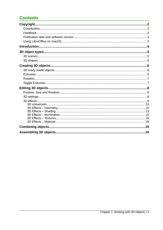### **Contents**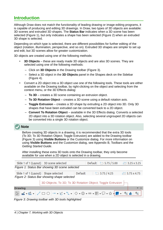### <span id="page-3-0"></span>**Introduction**

Although Draw does not match the functionality of leading drawing or image editing programs, it is capable of producing and editing 3D drawings. In Draw, two types of 3D objects are available: 3D scenes and extruded 3D shapes. The **Status Bar** indicates when a 3D scene has been selected (Figure [1](#page-3-1)), but only indicates a shape has been selected (Figure [2](#page-3-3)) when an extruded 3D shape is selected.

Depending on which type is selected, there are different possibilities for further editing of the object (rotation, illumination, perspective, and so on). Extruded 3D shapes are simpler to set up and edit, but 3D scenes allow for greater customization.

3D objects are created using one of the following methods:

- **3D Objects** these are ready made 3D objects and are also 3D scenes. They are selected using one of the following methods:
	- Click on **3D Objects** in the Drawing toolbar (Figure [3\)](#page-3-2).
	- Select a 3D object in the **3D Objects** panel in the Shapes deck on the Sidebar (Figure [4](#page-4-2)).
- Convert a 2D object into a 3D object use one of the following tools. These tools are either available on the Drawing toolbar, by right-clicking on the object and selecting from the context menu, or the 3D Effects dialog:
	- **To 3D** creates a 3D scene containing an extrusion object.
	- **To 3D Rotation Object** creates a 3D scene using a default rotation axis.
	- **Toggle Extrusion** creates a 3D shape by extruding a 2D object into 3D. Only 3D shapes that have been extruded can be converted back to a 2D object.
	- **Convert To Rotation Object** available in the 3D Effects dialog. Converts a selected 2D object into a 3D rotation object. Also, selecting several ungrouped 2D objects can be converted into a single 3D rotation object.

### **Note**

Before creating 3D objects in a drawing, it is recommended that the extra 3D tools (To 3D; To 3D Rotation Object; Toggle Extrusion) are added to the Drawing toolbar (Figure [3\)](#page-3-2) using **Visible Buttons** or the Customize dialog. For more information on using **Visible Buttons** and the Customize dialog, see Appendix B, Toolbars and the *Getting Started Guide*.

After installing these extra 3D tools onto the Drawing toolbar, they only become available for use when a 2D object is selected in a drawing.

<span id="page-3-3"></span><span id="page-3-1"></span>

|                                      | Slide 1 of 1 (Layout) 3D scene selected                             |         | Default ± 5.75 / 5.00 | $x = 3.25 \times 3.25$ |
|--------------------------------------|---------------------------------------------------------------------|---------|-----------------------|------------------------|
|                                      | Figure 1: Status Bar showing 3D scene selected                      |         |                       |                        |
| Slide 1 of 1 (Layout) Shape selected | Figure 2: Status Bar showing shape selected                         | Default | $\pm$ 3.75 / 4.25     | $x = 5.75 \times 4.75$ |
|                                      | 3D Objects; To 3D; To 3D Rotation Object; Toggle Extrusion $\vdash$ |         |                       |                        |
| <b>Drawing</b>                       |                                                                     |         |                       |                        |
|                                      |                                                                     |         |                       | $\frac{1}{6}$          |

<span id="page-3-2"></span>*Figure 3: Drawing toolbar with 3D tools highlighted*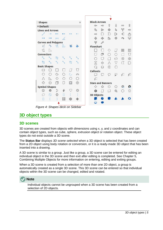| <b>Shapes</b>                              |                             |                   |             |                  | ×                | <b>Block Arrows</b>                                                   |                        |
|--------------------------------------------|-----------------------------|-------------------|-------------|------------------|------------------|-----------------------------------------------------------------------|------------------------|
| <b>Default</b><br>$\overline{\phantom{a}}$ |                             |                   |             |                  |                  | ſ,<br>⇧<br>$\Leftarrow$<br>$\Rightarrow$                              | î<br>$\Leftrightarrow$ |
| <b>Lines and Arrows</b>                    |                             |                   |             |                  |                  | ♧<br>₽<br>⑮<br>马                                                      | Y<br>屿                 |
|                                            |                             |                   |             |                  |                  | D<br>⊮<br>$\Rightarrow$<br>$\vert$ )                                  | 41<br>ᠿ                |
|                                            |                             | $\leftrightarrow$ | Á           |                  |                  | \$<br>Ф<br>솔<br>态                                                     | 묘<br>P,                |
| <b>Curves and Polygons</b>                 |                             |                   |             |                  |                  | Ÿ<br>$\mathscr{P}$                                                    |                        |
| V,                                         | $\rightarrow$               | ₫                 | ь           | A                |                  | <b>Flowchart</b>                                                      |                        |
| U                                          | IL,                         |                   |             |                  |                  | ◇<br>$\left  \right $                                                 | 冊<br>OOO               |
| <b>Connectors</b>                          |                             |                   |             |                  |                  | σ<br>$\langle \rangle$<br>└<br>$^{(+)}$                               | Ò<br>U                 |
| ٦.                                         |                             | a                 |             |                  |                  | Ŋ<br>◯<br>$\overline{a}$<br>$\overline{\phantom{0}}$                  | ⊗<br>쓺                 |
| a                                          | $\mathcal{N}_{\mathcal{P}}$ | $\mathbb{Q}$      |             | a                |                  | $\triangledown$<br>⇔<br>Δ<br>X                                        | π<br>D                 |
| <b>Basic Shapes</b>                        |                             |                   |             |                  |                  | $^\circledR$<br>Θ<br>G<br>$\left(\begin{array}{c} \end{array}\right)$ |                        |
|                                            | - 1                         |                   |             | $\left  \right $ |                  | <b>Callouts</b>                                                       |                        |
| O                                          | $\bigcirc$                  | G                 | $\circ$     | C                | $\odot$          | ₽<br>O<br>لبها<br>↳                                                   | ı⊡<br>一                |
| Δ                                          |                             | ◇                 | Ο           | $\langle$ )      | $\left( \right)$ | p.                                                                    |                        |
| 47                                         | Н                           | f                 |             | ⊡                | ⊚                | <b>Stars and Banners</b>                                              |                        |
| <b>Symbol Shapes</b>                       |                             |                   |             |                  |                  | O<br>♦<br>惢<br>47                                                     | 辯<br>Q                 |
| ٣                                          | 资                           | D                 | G           | v                | O                | 愈<br>⊐<br>۵<br>H                                                      | ☆<br>O                 |
| O                                          | $\circ$                     | ☆                 |             |                  |                  | <b>3D Objects</b>                                                     |                        |
| 0                                          |                             |                   | $\boxtimes$ | ₩                |                  |                                                                       |                        |
|                                            |                             |                   |             |                  |                  |                                                                       |                        |

<span id="page-4-2"></span>*Figure 4: Shapes deck on Sidebar*

### <span id="page-4-1"></span>**3D object types**

#### <span id="page-4-0"></span>**3D scenes**

3D scenes are created from objects with dimensions using x, y, and z coordinates and can contain object types, such as cube, sphere, extrusion object or rotation object. These object types do not exist outside a 3D scene.

The **Status Bar** displays *3D scene selected* when a 3D object is selected that has been created from a 2D object using body rotation or conversion, or it is a ready-made 3D object that has been inserted into a drawing.

A 3D scene is similar to a group. Just like a group, a 3D scene can be entered for editing an individual object in the 3D scene and then exit after editing is completed. See Chapter 5, Combining Multiple Objects for more information on entering, editing and exiting groups.

When a 3D scene is created from a selection of more than one 2D object, a group is automatically created as a single 3D scene. This 3D scene can be entered so that individual objects within the 3D scene can be changed, edited and rotated.



Individual objects cannot be ungrouped when a 3D scene has been created from a selection of 2D objects.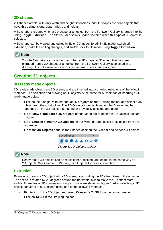### <span id="page-5-3"></span>**3D shapes**

2D shapes are flat with only width and height dimensions, but 3D shapes are solid objects that have three dimensions: depth, width, and height.

A 3D shape is created when a 2D shape or an object from the Fontwork Gallery is turned into 3D using **Toggle Extrusion**. The Status Bar displays *Shape selected* when this type of 3D object is selected.

A 3D shape can be viewed and edited in 3D or 2D mode. To edit in 2D mode, switch off extrusion, make the editing changes, and switch back to 3D mode using **Toggle Extrusion**.



**Toggle Extrusion** can only be used when a 2D shape, a 3D object that has been extruded from a 2D shape, or an object from the Fontwork Gallery is selected in a drawing. It is not available for text, lines, arrows, curves, and polygons.

### <span id="page-5-2"></span>**Creating 3D objects**

### <span id="page-5-1"></span>**3D ready made objects**

3D ready made objects are 3D scenes and are inserted into a drawing using one of the following methods. The selection and drawing of 3D objects is the same for all methods of inserting a 3D ready made object.

- Click on the triangle ▼ to the right of **3D Objects** on the Drawing toolbar and select a 3D object from the sub-toolbar. The **3D Objects** icon displayed on the Drawing toolbar depends on the 3D object that had been previously selected and used.
- Go to **View > Toolbars > 3D-Objects** on the Menu bar to open the 3D-Objects toolbar (Figure [5](#page-5-4)).
- Go to **Shapes > Insert > 3D Objects** on the Menu bar and select a 3D object from the submenu.
- Go to the **3D Objects** panel in the Shapes deck on the Sidebar and select a 3D object.

<span id="page-5-4"></span>

### **Note**

Ready made 3D objects can be repositioned, resized, and edited in the same way as 2D objects. See Chapter 3, Working with Objects for more information.

### <span id="page-5-0"></span>**Extrusion**

Extrusion converts a 2D object into a 3D scene by extruding the 2D object toward the observer. The scene is rotated by 20 degrees around the horizontal axis to make the 3D effect more visible. Examples of 3D conversion using extrusion are shown in Figure [6](#page-6-2). After selecting a 2D object, convert it to a 3D scene using one of the following methods:

- Right-click on the 2D object and select **Convert > To 3D** from the context menu.
- Click on **To 3D** in the Drawing toolbar.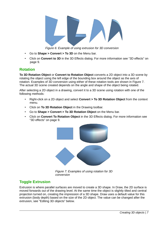

<span id="page-6-2"></span>*Figure 6: Example of using extrusion for 3D conversion*

- Go to **Shape > Convert > To 3D** on the Menu bar.
- Click on **Convert to 3D** in the 3D Effects dialog. For more information see "[3D effects](#page-8-0)" on page [9.](#page-8-0)

### <span id="page-6-1"></span>**Rotation**

**To 3D Rotation Object** or **Convert to Rotation Object** converts a 2D object into a 3D scene by rotating the object using the left edge of the bounding box around the object as the axis of rotation. Examples of 3D conversion using either of these rotation tools are shown in Figure [7.](#page-6-3) The actual 3D scene created depends on the angle and shape of the object being rotated.

After selecting a 2D object in a drawing, convert it to a 3D scene using rotation with one of the following methods:

- Right-click on a 2D object and select **Convert > To 3D Rotation Object** from the context menu.
- Click on **To 3D Rotation Object** in the Drawing toolbar.
- Go to **Shape > Convert > To 3D Rotation Object** on the Menu bar.
- Click on **Convert To Rotation Object** in the 3D Effects dialog. For more information see ["3D effects](#page-8-0)" on page [9](#page-8-0).



*Figure 7: Examples of using rotation for 3D conversion*

### <span id="page-6-3"></span><span id="page-6-0"></span>**Toggle Extrusion**

Extrusion is where parallel surfaces are moved to create a 3D shape. In Draw, the 2D surface is moved forwards out of the drawing level. At the same time the object is slightly tilted and central projection turned on, creating the impression of a 3D shape. Draw uses a default value for this extrusion (body depth) based on the size of the 2D object. The value can be changed after the extrusion, see ["Editing 3D objects" below](#page-7-2).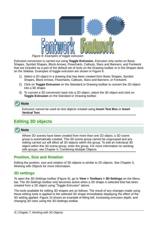

<span id="page-7-3"></span>*Figure 8: Examples of toggle extrusion*

Extrusion conversion is carried out using **Toggle Extrusion**. Extrusion only works on Basic Shapes, Symbol Shapes, Block Arrows, Flowcharts, Callouts, Stars and Banners, and Fontwork that are included as a part of the default set of tools on the Drawing toolbar or in the Shapes deck on the Sidebar. Examples of toggle extrusion are shown in Figure [8](#page-7-3).

- 1) Select a 2D object in a drawing that has been created from Basic Shapes, Symbol Shapes, Block Arrows, Flowcharts, Callouts, Stars and Banners, or Fontwork.
- 2) Click on **Toggle Extrusion** on the Standard or Drawing toolbar to convert the 2D object into a 3D shape.
- 3) To convert a 3D conversion back into a 2D object, select the 3D object and click on **Toggle Extrusion** on the Standard or Drawing toolbar.



Extrusion cannot be used on text objects created using **Insert Text Box** or **Insert Vertical Text**.

### <span id="page-7-2"></span>**Editing 3D objects**

### **Note**

Where 3D scenes have been created from more than one 2D object, a 3D scene group is automatically created. This 3D scene group cannot be ungrouped and any editing carried out will affect all 3D objects within the group. To edit an individual 3D object within this 3D scene group, enter the group. For more information on working with groups, see Chapter 5, Combining Multiple Objects.

### <span id="page-7-1"></span>**Position, Size and Rotation**

Editing the position, size and rotation of 3D objects is similar to 2D objects. See Chapter 3, Working with Objects for more information.

### <span id="page-7-0"></span>**3D settings**

To open the 3D-Settings toolbar (Figure [9\)](#page-8-2), go to **View > Toolbars > 3D-Settings** on the Menu bar. The 3D-Settings toolbar only becomes active when a 3D shape is selected that has been created from a 2D object using "[Toggle Extrusion](#page-6-0)" [above.](#page-6-0)

The tools available for editing 3D shapes are as follows. The result of any changes made using these editing tools is applied to the selected 3D shape immediately displaying the effect of the 3D setting applied. Figure [10](#page-8-1) shows an example of tilting left, increasing extrusion depth, and changing 3D color using the 3D-Settings toolbar.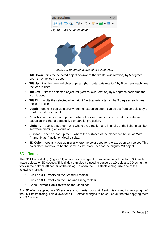<span id="page-8-2"></span>

<span id="page-8-1"></span>*Figure 10: Example of changing 3D settings*

- **Tilt Down** tilts the selected object downward (horizontal axis rotation) by 5 degrees each time the icon is used.
- **Tilt Up** tilts the selected object upward (horizontal axis rotation) by 5 degrees each time the icon is used.
- **Tilt Left** tilts the selected object left (vertical axis rotation) by 5 degrees each time the icon is used.
- **Tilt Right** tilts the selected object right (vertical axis rotation) by 5 degrees each time the icon is used.
- **Depth** opens a pop-up menu where the extrusion depth can be set from an object by a fixed or custom amount.
- **Direction** opens a pop-up menu where the view direction can be set to create an extrusion in either a perspective or parallel projection.
- **Lighting** opens a pop-up menu where the direction and intensity of the lighting can be set when creating an extrusion.
- **Surface** opens a pop-up menu where the surfaces of the object can be set as Wire Frame, Matt, Plastic, or Metal display.
- **3D Color** opens a pop-up menu where the color used for the extrusion can be set. This color does not have to be the same as the color used for the original 2D object.

### <span id="page-8-0"></span>**3D effects**

The 3D Effects dialog (Figure [11](#page-9-1)) offers a wide range of possible settings for editing 3D ready made objects or 3D scenes. This dialog can also be used to convert a 2D object to 3D using the tools in the bottom left corner of the dialog. To open the 3D Effects dialog, use one of the following methods:

- Click on **3D Effects** on the Standard toolbar.
- Click on **3D Effects** on the Line and Filling toolbar.
- Go to **Format > 3D-Effects** on the Menu bar.

Any 3D effects applied to a 3D scene are not carried out until **Assign** is clicked in the top right of the 3D Effects dialog. This allows for all 3D effect changes to be carried out before applying them to a 3D scene.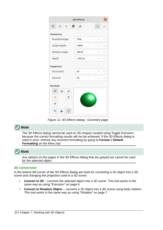| <b>3D Effects</b>  |                    |   |        |  |
|--------------------|--------------------|---|--------|--|
| 亭<br>$\Box$<br>叵   | н.<br>$\circ$      | ۲ |        |  |
| Geometry           |                    |   |        |  |
| Rounded edges      | 10%                |   | $^{+}$ |  |
| Scaled depth       | 100%               |   | $+$    |  |
| Rotation angle     | $360.0^\circ$      |   | $^{+}$ |  |
| Depth              | 1.00 <sub>cm</sub> |   | $^{+}$ |  |
| <b>Segments</b>    |                    |   |        |  |
| Horizontal         | 24                 |   | $^{+}$ |  |
| Vertical           | 24                 |   | $^{+}$ |  |
| <b>Normals</b>     |                    |   |        |  |
| $^{++}$<br>莒<br>à, |                    |   |        |  |
| Y<br>美             |                    |   |        |  |
| $+1+$              |                    |   |        |  |
| %<br>-0            |                    |   |        |  |

<span id="page-9-1"></span>*Figure 11: 3D Effects dialog - Geometry page*

#### **Note**

The 3D Effects dialog cannot be used on 3D shapes created using Toggle Extrusion because the correct formatting results will not be achieved. If the 3D Effects dialog is used in error, remove any incorrect formatting by going to **Format > Default Formatting** on the Menu bar.



Any options on the pages in the 3D Effects dialog that are grayed out cannot be used for the selected object.

#### <span id="page-9-0"></span>*3D conversion*

In the bottom left corner of the 3D Effects dialog are tools for converting a 2D object into a 3D scene and changing the projection used in a 3D scene.

- **Convert to 3D** converts the selected object into a 3D scene. This tool works in the same way as using "[Extrusion"](#page-5-0) on page [6](#page-5-0).
- **Convert to Rotation Object** converts a 2D object into a 3D scene using body rotation. This tool works in the same way as using ["Rotation](#page-6-1)" on page [7.](#page-6-1)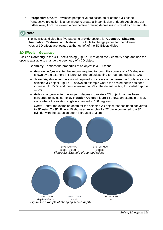**Perspective On/Off** – switches perspective projection on or off for a 3D scene. Perspective projection is a technique to create a linear illusion of depth. As objects get further away from the viewer, a perspective drawing decreases in size at a constant rate.

### **Note**

The 3D Effects dialog has five pages to provide options for **Geometry**, **Shading**, **Illumination**, **Textures**, and **Material**. The tools to change pages for the different types of 3D effects are located at the top left of the 3D Effects dialog.

#### <span id="page-10-0"></span>*3D Effects – Geometry*

Click on **Geometry** in the 3D Effects dialog (Figure [11\)](#page-9-1) to open the Geometry page and use the options available to change the geometry of a 3D object.

- **Geometry** defines the properties of an object in a 3D scene.
	- *Rounded edges* enter the amount required to round the corners of a 3D shape as shown by the example in Figure [12](#page-10-2). The default setting for rounded edges is 10%.
	- *Scaled depth* enter the amount required to increase or decrease the frontal area of a selected 3D object. Figure [13](#page-10-1) shows an example where the scaled depth has been increased to 150% and then decreased to 50%. The default setting for scaled depth is 100%.
	- *Rotation angle* enter the angle in degrees to rotate a 2D object that has been converted to 3D using **To 3D Rotation Object**. Figure [14](#page-11-1) shows an example of a 2D circle where the rotation angle is changed to 150 degrees.
	- *Depth* enter the extrusion depth for the selected 2D object that has been converted to 3D using **To 3D**. Figure [15](#page-11-0) shows an example of a 2D circle converted to a 3D cylinder with the extrusion depth increased to 3 cm.

<span id="page-10-2"></span><span id="page-10-1"></span>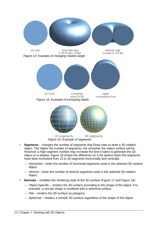<span id="page-11-1"></span>

<span id="page-11-2"></span><span id="page-11-0"></span>*Figure 16: Example of segments*

- **Segments** changes the number of segments that Draw uses to draw a 3D rotation object. The higher the number of segments, the smoother the object surface will be. However, a high segment number may increase the time it takes to generate the 3D object on a display. Figure [16](#page-11-2) shows the difference on a 3D sphere when the segments have been increased from 10 to 30 segments horizontally and vertically.
	- *Horizontal* enter the number of horizontal segments used in the selected 3D rotation object.
	- *Vertical* enter the number of vertical segments used in the selected 3D rotation object.
- **Normals** modifies the rendering style of the 3D surface (Figure [17](#page-12-2) and Figure [18\)](#page-12-1).
	- *Object-Specific* renders the 3D surface according to the shape of the object. For example, a circular shape is rendered with a spherical surface.
	- *Flat* renders the 3D surface as polygons.
	- *Spherical* renders a smooth 3D surface regardless of the shape of the object.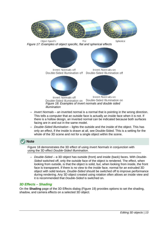<span id="page-12-2"></span>

- <span id="page-12-1"></span>Invert Normals on Invert Normals off Double-Sided Illumination on Double-Sided Illumination on *Figure 18: Examples of invert normals and double sided illumination*
- *Invert Normals* an inverted normal is a normal that is pointing in the wrong direction. This tells a computer that an outside face is actually an inside face when it is not. If there is a hollow design, an inverted normal can be indicated because both surfaces facing are in and out in the same model.
- *Double-Sided Illumination* lights the outside and the inside of the object. This has only an effect, if the inside is drawn at all, see Double-Sided. This is a setting for the whole of the 3D scene and not for a single object within the scene.

### **Note**

Figure [18](#page-12-1) demonstrates the 3D effect of using *Invert Normals* in conjunction with using the 3D effect *Double-Sided Illumination*.

– *Double-Sided* – a 3D object has outside (front) and inside (back) faces. With *Double-Sided* switched off, only the outside face of the object is rendered. The effect, when looking from outside, is that the object is solid, but, when looking from inside, the front face is transparent. If there is no view to the inside face, normal for an extruded 3D object with solid texture, *Double-Sided* should be switched off to improve performance during rendering. Any 3D object created using rotation often allows an inside view and it is recommended that *Double-Sided* is switched on.

#### <span id="page-12-0"></span>*3D Effects – Shading*

On the **Shading** page of the 3D Effects dialog (Figure [19\)](#page-13-0) provides options to set the shading, shadow, and camera effects on a selected 3D object.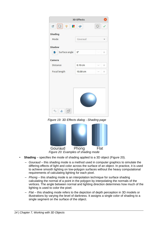|                                            | <b>3D Effects</b> |   |        |
|--------------------------------------------|-------------------|---|--------|
| 学 <br>$\Box$<br>. .                        | $\bullet$         | ۲ |        |
| Shading                                    |                   |   |        |
| Mode                                       | Gouraud           |   |        |
| <b>Shadow</b>                              |                   |   |        |
| Surface angle<br>$\mathbb{F}_{\mathbb{F}}$ | $0^{\circ}$       |   | $^{+}$ |
| Camera                                     |                   |   |        |
| <b>Distance</b>                            | 0.10cm            |   | $^{+}$ |
| Focal length                               | 10.00 cm          |   | $^{+}$ |
| %                                          |                   |   |        |

<span id="page-13-1"></span><span id="page-13-0"></span>*Figure 19: 3D Effects dialog - Shading page*



- **Shading** specifies the mode of shading applied to a 3D object (Figure [20\)](#page-13-1).
	- *Gouraud* this shading mode is a method used in computer graphics to simulate the differing effects of light and color across the surface of an object. In practice, it is used to achieve smooth lighting on low-polygon surfaces without the heavy computational requirements of calculating lighting for each pixel.
	- *Phong* this shading mode is an interpolation technique for surface shading calculating the normal of a point in the polygon by interpolating the normals of the vertices. The angle between normal and lighting direction determines how much of the lighting is used to color the pixel.
	- *Flat* this shading mode refers to the depiction of depth perception in 3D models or illustrations by varying the level of darkness. It assigns a single color of shading to a single segment on the surface of the object.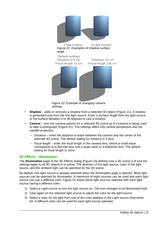<span id="page-14-2"></span>

*Figure 22: Example of changing camera settings*

- <span id="page-14-1"></span>• **Shadow** – adds or removes a shadow from a selected 3D object (Figure [21](#page-14-2)). A shadow is generated only from the first light source. Enter a *Surface Angle* from the light source to the surface between 0 to 90 degrees to cast a shadow.
- **Camera** sets the camera options for a selected 3D scene as if a camera is being used to take a photograph (Figure [22](#page-14-1)). The settings affect only central perspective and not parallel projection.
	- *Distance* enter the distance to leave between the camera and the center of the selected 3D scene. The default setting for distance is 2.6cm.
	- *Focal length* enter the focal length of the camera lens, where a small value corresponds to a fish-eye lens and a large value to a telephoto lens. The default setting for focal length is 10cm.

#### <span id="page-14-0"></span>*3D Effects – Illumination*

The **Illumination** page of the 3D Effects dialog (Figure [23](#page-15-1)) defines how a 3D scene is lit and the settings apply to all 3D objects in a scene. The direction of the light source, color of the light source, and the ambient light can be specified for the 3D scene.

By default, one light source is already selected when the Illumination page is opened. More light sources can be selected for illumination. A maximum of eight sources can be used and each light source can use a different color. Figure [23](#page-15-1) shows three light sources selected with each light source having a different color.

- 1) Select a *Light source* to turn the light source on. The icon changes to an illuminated bulb.
- 2) Click again on the selected light source to adjust the color for the light source.
- 3) Select a color for the light from one of the color palettes in the *Light source* drop-down list. A different color can be used for each light source selected.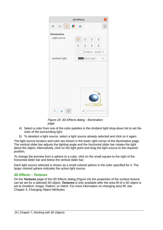|                       | <b>3D Effects</b> |   |                                    |   |   |
|-----------------------|-------------------|---|------------------------------------|---|---|
| 亭<br>回<br>$\Box$<br>÷ | $\bullet$         |   |                                    |   | G |
| Illumination          |                   |   |                                    |   |   |
| Light source          | 誉                 | Ō | Ō                                  | Ō |   |
|                       | Ō                 | Ō | Ō                                  | Ō |   |
|                       |                   |   | R:204 G B:204 $\blacktriangledown$ |   |   |
| Ambient light         |                   |   | Dark Gray 1                        |   |   |
| %<br>7)               |                   |   |                                    |   |   |

<span id="page-15-1"></span>*Figure 23: 3D Effects dialog - Illumination page*

- 4) Select a color from one of the color palettes in the *Ambient light* drop-down list to set the color of the surrounding light.
- 5) To deselect a light source, select a light source already selected and click on it again.

The light source location and color are shown in the lower right corner of the Illumination page. The vertical slider bar adjusts the lighting angle and the horizontal slider bar rotates the light about the object. Alternatively, click on the light point and drag the light source to the required position.

To change the preview from a sphere to a cube, click on the small square to the right of the horizontal slider bar and below the vertical slider bar.

Each light source selected is shown as a small colored sphere in the color specified for it. The larger colored sphere indicates the active light source.

#### <span id="page-15-0"></span>*3D Effects – Textures*

On the **Textures** page of the 3D Effects dialog (Figure [24\)](#page-16-0) the properties of the surface texture can be set for a selected 3D object. **Textures** is only available after the area fill of a 3D object is set to *Gradient*, *Image, Pattern*, or *Hatch*. For more information on changing area fill, see Chapter 4, Changing Object Attributes.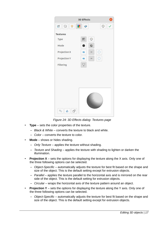|                 | <b>3D Effects</b>   |         |
|-----------------|---------------------|---------|
| 亭<br>回<br>×.    | $\circ$             | $\odot$ |
| <b>Textures</b> |                     |         |
| <b>Type</b>     | O<br>$\overline{a}$ |         |
| Mode            |                     |         |
| Projection X    | C<br>$=$<br>۵       |         |
| Projection Y    | O<br>ౕ<br>$=$       |         |
| Filtering       | $\triangledown$     |         |
|                 |                     |         |
|                 |                     |         |
| %<br>Ø<br>٨     |                     |         |

<span id="page-16-0"></span>*Figure 24: 3D Effects dialog- Textures page*

- **Type** sets the color properties of the texture.
	- *Black & White* converts the texture to black and white.
	- *Color* converts the texture to color.
- **Mode** shows or hides shading.
	- *Only Texture* applies the texture without shading.
	- *Texture and Shading* applies the texture with shading to lighten or darken the illumination.
- **Projection X** sets the options for displaying the texture along the X axis. Only one of the three following options can be selected.
	- *Object-Specific* automatically adjusts the texture for best fit based on the shape and size of the object. This is the default setting except for extrusion objects.
	- *Parallel* applies the texture parallel to the horizontal axis and is mirrored on the rear side of the object. This is the default setting for extrusion objects.
	- *Circular* wraps the horizontal axis of the texture pattern around an object.
- **Projection Y** sets the options for displaying the texture along the Y axis. Only one of the three following options can be selected.
	- *Object-Specific* automatically adjusts the texture for best fit based on the shape and size of the object. This is the default setting except for extrusion objects.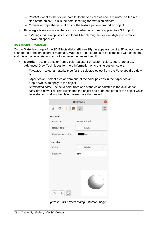- *Parallel* applies the texture parallel to the vertical axis and is mirrored on the rear side of the object. This is the default setting for extrusion objects.
- *Circular* wraps the vertical axis of the texture pattern around an object.
- **Filtering** filters out noise that can occur when a texture is applied to a 3D object.
	- *Filtering On/Off* applies a soft focus filter blurring the texture slightly to remove unwanted speckles.

#### <span id="page-17-0"></span>*3D Effects – Material*

On the **Materials** page of the 3D Effects dialog (Figure [25](#page-17-1)) the appearance of a 3D object can be changed to represent different materials. Materials and textures can be combined with each other and it is a matter of trial and error to achieve the desired result.

- **Material** assigns a color from a color palette. For custom colors, see Chapter 11, Advanced Draw Techniques for more information on creating custom colors.
	- *Favorites* select a material type for the selected object from the *Favorites* drop-down list.
	- *Object color* select a color from one of the color palettes in the *Object color* drop-down list to apply to the object.
	- *Illumination color* select a color from one of the color palettes in the *Illumination color* drop-down list. This illuminates the object and brightens parts of the object which lie in shadow making the object seem more illuminated.

|                                   | <b>3D Effects</b> |
|-----------------------------------|-------------------|
| $\hfill \square$<br>寧<br>回<br>. . | G<br>$\bullet$    |
| Material                          |                   |
| Favorites                         | User-defined      |
| Object color                      | White             |
| Illumination color                | Black             |
| Specular                          |                   |
| Color                             | White             |
| Intensity                         | 15%               |
| %<br>$\triangle$<br>17            |                   |

<span id="page-17-1"></span>*Figure 25: 3D Effects dialog - Material page*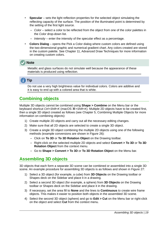- **Specular** sets the light reflection properties for the selected object simulating the reflecting capacity of the surface. The position of the illuminated point is determined by the setting of the first light source.
	- *Color* select a color to be reflected from the object from one of the color palettes in the *Color* drop-down list.
	- *Intensity* enter the intensity of the specular effect as a percentage.
- **Colors Dialog** opens the Pick a Color dialog where custom colors are defined using the two-dimensional graphic and numerical gradient chart. Any colors created are stored in the custom palette. See Chapter 11, Advanced Draw Techniques for more information on creating custom colors.

### **Note**

Metallic and glass surfaces do not simulate well because the appearance of these materials is produced using reflection.

**Tip**

Do not use a very high brightness value for individual colors. Colors are additive and it is easy to end up with a colored area that is white.

### <span id="page-18-0"></span>**Combining objects**

Multiple 3D objects cannot be combined using **Shape > Combine** on the Menu bar or the keyboard shortcut *Ctrl+Shift+K* (macOS  $\#$ +Shift+K). Multiple 2D objects have to be created first, then a single 3D object created as follows (see Chapter 5, Combining Multiple Objects for more information on combining objects):

- 1) Create multiple 2D objects and carry out all the necessary editing changes.
- 2) Make sure that all 2D objects are selected to create a single 3D object.
- 3) Create a single 3D object combining the multiple 2D objects using one of the following methods (example conversions are shown in Figure [26](#page-19-1)):
	- Click on **To 3D** or **To 3D Rotation Object** on the Drawing toolbar.
	- Right-click on the selected multiple 2D objects and select **Convert > To 3D** or **To 3D Rotation Object** from the context menu.
	- Go to **Shape > Convert > To 3D** or **To 3D Rotation Object** on the Menu bar.

### <span id="page-18-1"></span>**Assembling 3D objects**

3D objects that each form a separate 3D scene can be combined or assembled into a single 3D scene. An example procedure for assembling 3D objects is as follows and shown in Figure [27:](#page-19-0)

- 1) Select a 3D object (for example, a cube) from **3D Objects** on the Drawing toolbar or Shapes deck on the Sidebar and place it in a drawing.
- 2) Select a second 3D object (for example, a sphere) from **3D Objects** on the Drawing toolbar or Shapes deck on the Sidebar and place it in the drawing.
- 3) If necessary, set the area fill to **None** and the lines to **Continuous** to create wire frame objects. This makes it easier to position both objects in the assembled 3D scene.
- 4) Select the second 3D object (sphere) and go to **Edit > Cut** on the Menu bar or right-click on the object and select **Cut** from the context menu.